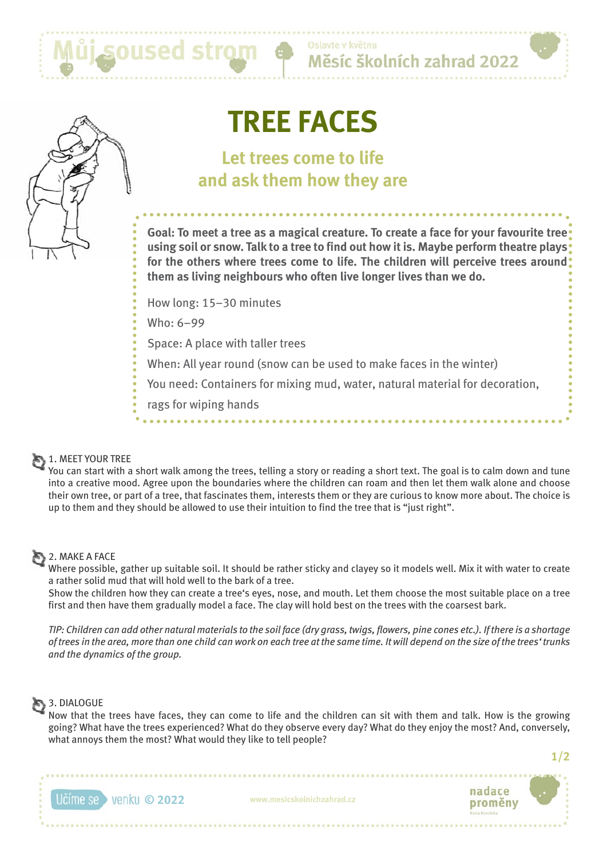

# **TREE FACES**

## **Let trees come to life and ask them how they are**

**Goal: To meet a tree as a magical creature. To create a face for your favourite tree using soil or snow. Talk to a tree to find out how it is. Maybe perform theatre plays for the others where trees come to life. The children will perceive trees around them as living neighbours who often live longer lives than we do.**

Měsíc školních zahrad 2022

How long: 15–30 minutes

Who: 6–99

Space: A place with taller trees

When: All year round (snow can be used to make faces in the winter)

You need: Containers for mixing mud, water, natural material for decoration,

rags for wiping hands

### 1. MEET YOUR TREE

You can start with a short walk among the trees, telling a story or reading a short text. The goal is to calm down and tune into a creative mood. Agree upon the boundaries where the children can roam and then let them walk alone and choose their own tree, or part of a tree, that fascinates them, interests them or they are curious to know more about. The choice is up to them and they should be allowed to use their intuition to find the tree that is "just right".

### **2. MAKE A FACE**

Where possible, gather up suitable soil. It should be rather sticky and clayey so it models well. Mix it with water to create a rather solid mud that will hold well to the bark of a tree.

Show the children how they can create a tree's eyes, nose, and mouth. Let them choose the most suitable place on a tree first and then have them gradually model a face. The clay will hold best on the trees with the coarsest bark.

*TIP: Children can add other natural materials to the soil face (dry grass, twigs, flowers, pine cones etc.). If there is a shortage of trees in the area, more than one child can work on each tree at the same time. It will depend on the size of the trees' trunks and the dynamics of the group.*

### 3. DIALOGUE

Now that the trees have faces, they can come to life and the children can sit with them and talk. How is the growing going? What have the trees experienced? What do they observe every day? What do they enjoy the most? And, conversely, what annoys them the most? What would they like to tell people?